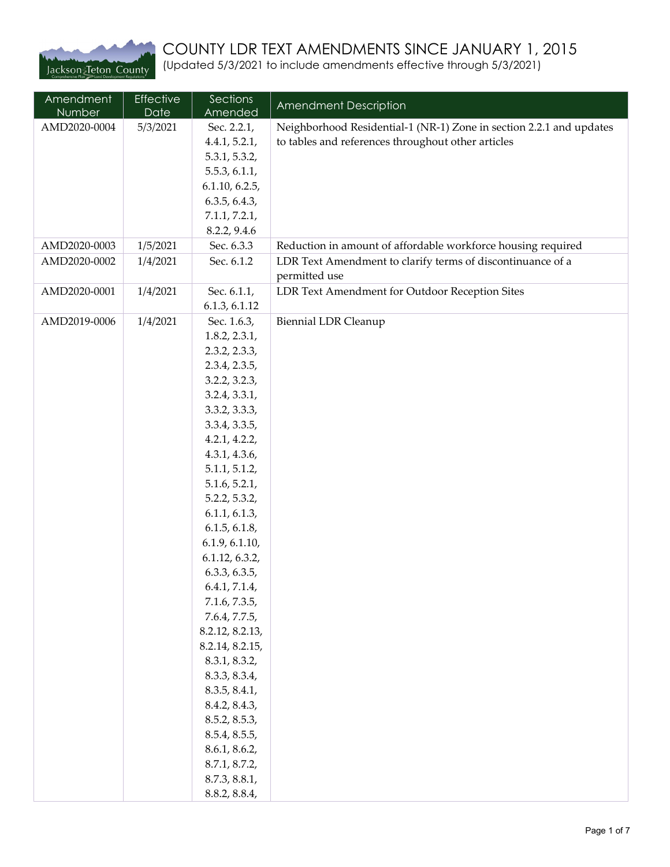

## COUNTY LDR TEXT AMENDMENTS SINCE JANUARY 1, 2015

(Updated 5/3/2021 to include amendments effective through 5/3/2021)

| Amendment<br>Number | Effective<br>Date | Sections<br>Amended              | Amendment Description                                               |
|---------------------|-------------------|----------------------------------|---------------------------------------------------------------------|
| AMD2020-0004        | 5/3/2021          | Sec. 2.2.1,                      | Neighborhood Residential-1 (NR-1) Zone in section 2.2.1 and updates |
|                     |                   | 4.4.1, 5.2.1,                    | to tables and references throughout other articles                  |
|                     |                   | 5.3.1, 5.3.2,                    |                                                                     |
|                     |                   | 5.5.3, 6.1.1,                    |                                                                     |
|                     |                   | 6.1.10, 6.2.5,                   |                                                                     |
|                     |                   | 6.3.5, 6.4.3,                    |                                                                     |
|                     |                   | 7.1.1, 7.2.1,<br>8.2.2, 9.4.6    |                                                                     |
| AMD2020-0003        | 1/5/2021          | Sec. 6.3.3                       | Reduction in amount of affordable workforce housing required        |
| AMD2020-0002        | 1/4/2021          | Sec. 6.1.2                       | LDR Text Amendment to clarify terms of discontinuance of a          |
|                     |                   |                                  | permitted use                                                       |
| AMD2020-0001        | 1/4/2021          | Sec. 6.1.1,                      | LDR Text Amendment for Outdoor Reception Sites                      |
|                     |                   | 6.1.3, 6.1.12                    |                                                                     |
| AMD2019-0006        | 1/4/2021          | Sec. 1.6.3,                      | <b>Biennial LDR Cleanup</b>                                         |
|                     |                   | 1.8.2, 2.3.1,                    |                                                                     |
|                     |                   | 2.3.2, 2.3.3,                    |                                                                     |
|                     |                   | 2.3.4, 2.3.5,                    |                                                                     |
|                     |                   | 3.2.2, 3.2.3,                    |                                                                     |
|                     |                   | 3.2.4, 3.3.1,<br>3.3.2, 3.3.3,   |                                                                     |
|                     |                   | 3.3.4, 3.3.5,                    |                                                                     |
|                     |                   | 4.2.1, 4.2.2,                    |                                                                     |
|                     |                   | 4.3.1, 4.3.6,                    |                                                                     |
|                     |                   | 5.1.1, 5.1.2,                    |                                                                     |
|                     |                   | 5.1.6, 5.2.1,                    |                                                                     |
|                     |                   | 5.2.2, 5.3.2,                    |                                                                     |
|                     |                   | 6.1.1, 6.1.3,                    |                                                                     |
|                     |                   | 6.1.5, 6.1.8,                    |                                                                     |
|                     |                   | 6.1.9, 6.1.10,                   |                                                                     |
|                     |                   | 6.1.12, 6.3.2,                   |                                                                     |
|                     |                   | 6.3.3, 6.3.5,                    |                                                                     |
|                     |                   | 6.4.1, 7.1.4,                    |                                                                     |
|                     |                   | 7.1.6, 7.3.5,                    |                                                                     |
|                     |                   | 7.6.4, 7.7.5,<br>8.2.12, 8.2.13, |                                                                     |
|                     |                   | 8.2.14, 8.2.15,                  |                                                                     |
|                     |                   | 8.3.1, 8.3.2,                    |                                                                     |
|                     |                   | 8.3.3, 8.3.4,                    |                                                                     |
|                     |                   | 8.3.5, 8.4.1,                    |                                                                     |
|                     |                   | 8.4.2, 8.4.3,                    |                                                                     |
|                     |                   | 8.5.2, 8.5.3,                    |                                                                     |
|                     |                   | 8.5.4, 8.5.5,                    |                                                                     |
|                     |                   | 8.6.1, 8.6.2,                    |                                                                     |
|                     |                   | 8.7.1, 8.7.2,                    |                                                                     |
|                     |                   | 8.7.3, 8.8.1,                    |                                                                     |
|                     |                   | 8.8.2, 8.8.4,                    |                                                                     |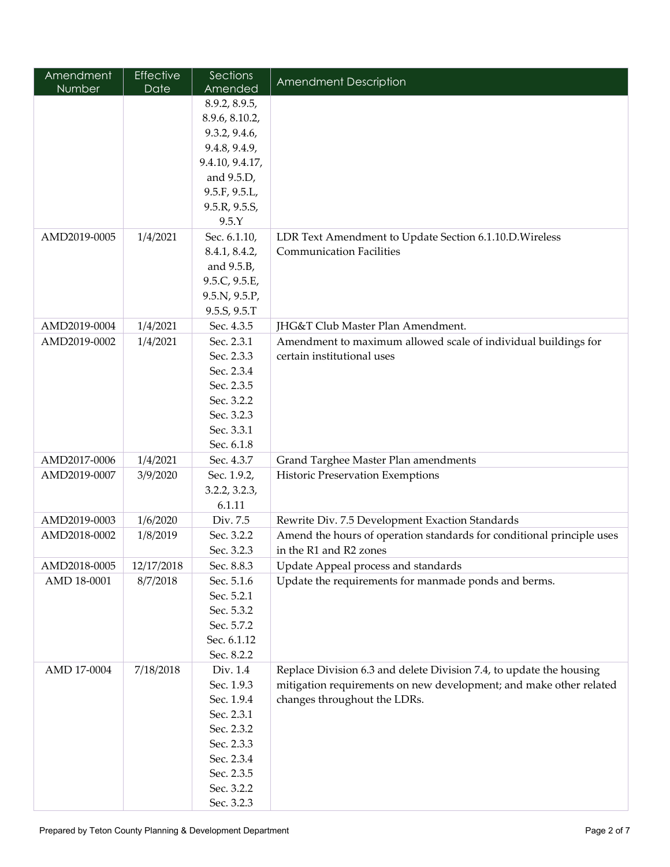| Amendment     | Effective  | Sections                    | Amendment Description                                                                      |
|---------------|------------|-----------------------------|--------------------------------------------------------------------------------------------|
| <b>Number</b> | Date       | Amended                     |                                                                                            |
|               |            | 8.9.2, 8.9.5,               |                                                                                            |
|               |            | 8.9.6, 8.10.2,              |                                                                                            |
|               |            | 9.3.2, 9.4.6,               |                                                                                            |
|               |            | 9.4.8, 9.4.9,               |                                                                                            |
|               |            | 9.4.10, 9.4.17,             |                                                                                            |
|               |            | and 9.5.D,                  |                                                                                            |
|               |            | 9.5.F, 9.5.L,               |                                                                                            |
|               |            | 9.5.R, 9.5.S,               |                                                                                            |
|               |            | 9.5.Y                       |                                                                                            |
| AMD2019-0005  | 1/4/2021   | Sec. 6.1.10,                | LDR Text Amendment to Update Section 6.1.10.D. Wireless<br><b>Communication Facilities</b> |
|               |            | 8.4.1, 8.4.2,               |                                                                                            |
|               |            | and 9.5.B,<br>9.5.C, 9.5.E, |                                                                                            |
|               |            | 9.5.N, 9.5.P,               |                                                                                            |
|               |            | 9.5.S, 9.5.T                |                                                                                            |
| AMD2019-0004  | 1/4/2021   | Sec. 4.3.5                  | JHG&T Club Master Plan Amendment.                                                          |
| AMD2019-0002  | 1/4/2021   | Sec. 2.3.1                  | Amendment to maximum allowed scale of individual buildings for                             |
|               |            | Sec. 2.3.3                  | certain institutional uses                                                                 |
|               |            | Sec. 2.3.4                  |                                                                                            |
|               |            | Sec. 2.3.5                  |                                                                                            |
|               |            | Sec. 3.2.2                  |                                                                                            |
|               |            | Sec. 3.2.3                  |                                                                                            |
|               |            | Sec. 3.3.1                  |                                                                                            |
|               |            | Sec. 6.1.8                  |                                                                                            |
| AMD2017-0006  | 1/4/2021   | Sec. 4.3.7                  | Grand Targhee Master Plan amendments                                                       |
| AMD2019-0007  | 3/9/2020   | Sec. 1.9.2,                 | Historic Preservation Exemptions                                                           |
|               |            | 3.2.2, 3.2.3,               |                                                                                            |
|               |            | 6.1.11                      |                                                                                            |
| AMD2019-0003  | 1/6/2020   | Div. 7.5                    | Rewrite Div. 7.5 Development Exaction Standards                                            |
| AMD2018-0002  | 1/8/2019   | Sec. 3.2.2                  | Amend the hours of operation standards for conditional principle uses                      |
|               |            | Sec. 3.2.3                  | in the R1 and R2 zones                                                                     |
| AMD2018-0005  | 12/17/2018 | Sec. 8.8.3                  | Update Appeal process and standards                                                        |
| AMD 18-0001   | 8/7/2018   | Sec. 5.1.6                  | Update the requirements for manmade ponds and berms.                                       |
|               |            | Sec. 5.2.1                  |                                                                                            |
|               |            | Sec. 5.3.2                  |                                                                                            |
|               |            | Sec. 5.7.2                  |                                                                                            |
|               |            | Sec. 6.1.12                 |                                                                                            |
|               |            | Sec. 8.2.2                  |                                                                                            |
| AMD 17-0004   | 7/18/2018  | Div. 1.4                    | Replace Division 6.3 and delete Division 7.4, to update the housing                        |
|               |            | Sec. 1.9.3                  | mitigation requirements on new development; and make other related                         |
|               |            | Sec. 1.9.4                  | changes throughout the LDRs.                                                               |
|               |            | Sec. 2.3.1<br>Sec. 2.3.2    |                                                                                            |
|               |            | Sec. 2.3.3                  |                                                                                            |
|               |            | Sec. 2.3.4                  |                                                                                            |
|               |            | Sec. 2.3.5                  |                                                                                            |
|               |            | Sec. 3.2.2                  |                                                                                            |
|               |            | Sec. 3.2.3                  |                                                                                            |
|               |            |                             |                                                                                            |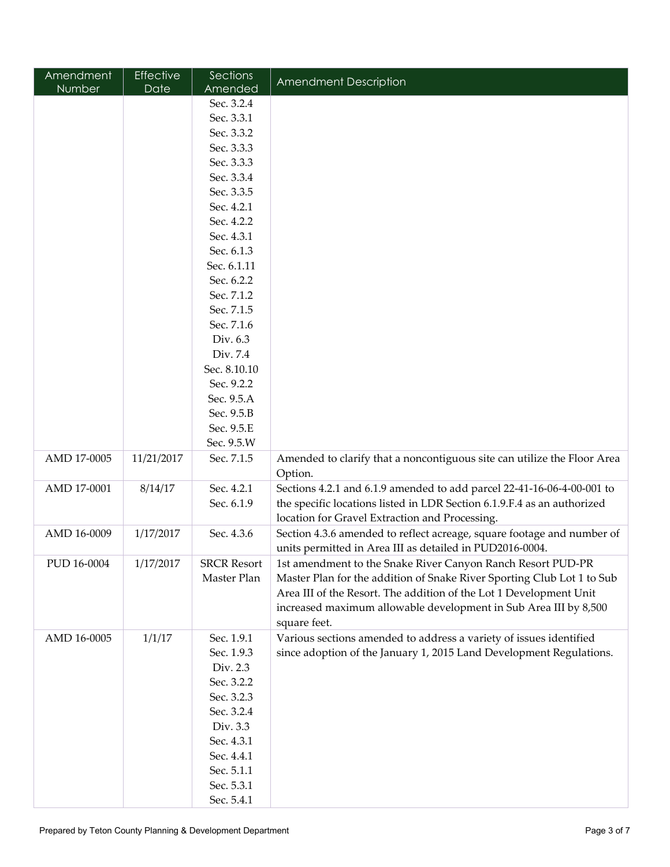| Amendment   | Effective  | Sections           | Amendment Description                                                              |
|-------------|------------|--------------------|------------------------------------------------------------------------------------|
| Number      | Date       | Amended            |                                                                                    |
|             |            | Sec. 3.2.4         |                                                                                    |
|             |            | Sec. 3.3.1         |                                                                                    |
|             |            | Sec. 3.3.2         |                                                                                    |
|             |            | Sec. 3.3.3         |                                                                                    |
|             |            | Sec. 3.3.3         |                                                                                    |
|             |            | Sec. 3.3.4         |                                                                                    |
|             |            | Sec. 3.3.5         |                                                                                    |
|             |            | Sec. 4.2.1         |                                                                                    |
|             |            | Sec. 4.2.2         |                                                                                    |
|             |            | Sec. 4.3.1         |                                                                                    |
|             |            | Sec. 6.1.3         |                                                                                    |
|             |            | Sec. 6.1.11        |                                                                                    |
|             |            | Sec. 6.2.2         |                                                                                    |
|             |            | Sec. 7.1.2         |                                                                                    |
|             |            | Sec. 7.1.5         |                                                                                    |
|             |            | Sec. 7.1.6         |                                                                                    |
|             |            | Div. 6.3           |                                                                                    |
|             |            | Div. 7.4           |                                                                                    |
|             |            | Sec. 8.10.10       |                                                                                    |
|             |            | Sec. 9.2.2         |                                                                                    |
|             |            | Sec. 9.5.A         |                                                                                    |
|             |            | Sec. 9.5.B         |                                                                                    |
|             |            | Sec. 9.5.E         |                                                                                    |
|             |            | Sec. 9.5.W         |                                                                                    |
| AMD 17-0005 | 11/21/2017 | Sec. 7.1.5         | Amended to clarify that a noncontiguous site can utilize the Floor Area<br>Option. |
| AMD 17-0001 | 8/14/17    | Sec. 4.2.1         | Sections 4.2.1 and 6.1.9 amended to add parcel 22-41-16-06-4-00-001 to             |
|             |            | Sec. 6.1.9         | the specific locations listed in LDR Section 6.1.9.F.4 as an authorized            |
|             |            |                    | location for Gravel Extraction and Processing.                                     |
| AMD 16-0009 | 1/17/2017  | Sec. 4.3.6         | Section 4.3.6 amended to reflect acreage, square footage and number of             |
|             |            |                    | units permitted in Area III as detailed in PUD2016-0004.                           |
| PUD 16-0004 | 1/17/2017  | <b>SRCR Resort</b> | 1st amendment to the Snake River Canyon Ranch Resort PUD-PR                        |
|             |            | Master Plan        | Master Plan for the addition of Snake River Sporting Club Lot 1 to Sub             |
|             |            |                    | Area III of the Resort. The addition of the Lot 1 Development Unit                 |
|             |            |                    | increased maximum allowable development in Sub Area III by 8,500                   |
|             |            |                    | square feet.                                                                       |
| AMD 16-0005 | 1/1/17     | Sec. 1.9.1         | Various sections amended to address a variety of issues identified                 |
|             |            | Sec. 1.9.3         | since adoption of the January 1, 2015 Land Development Regulations.                |
|             |            | Div. 2.3           |                                                                                    |
|             |            | Sec. 3.2.2         |                                                                                    |
|             |            | Sec. 3.2.3         |                                                                                    |
|             |            | Sec. 3.2.4         |                                                                                    |
|             |            | Div. 3.3           |                                                                                    |
|             |            | Sec. 4.3.1         |                                                                                    |
|             |            | Sec. 4.4.1         |                                                                                    |
|             |            | Sec. 5.1.1         |                                                                                    |
|             |            | Sec. 5.3.1         |                                                                                    |
|             |            | Sec. 5.4.1         |                                                                                    |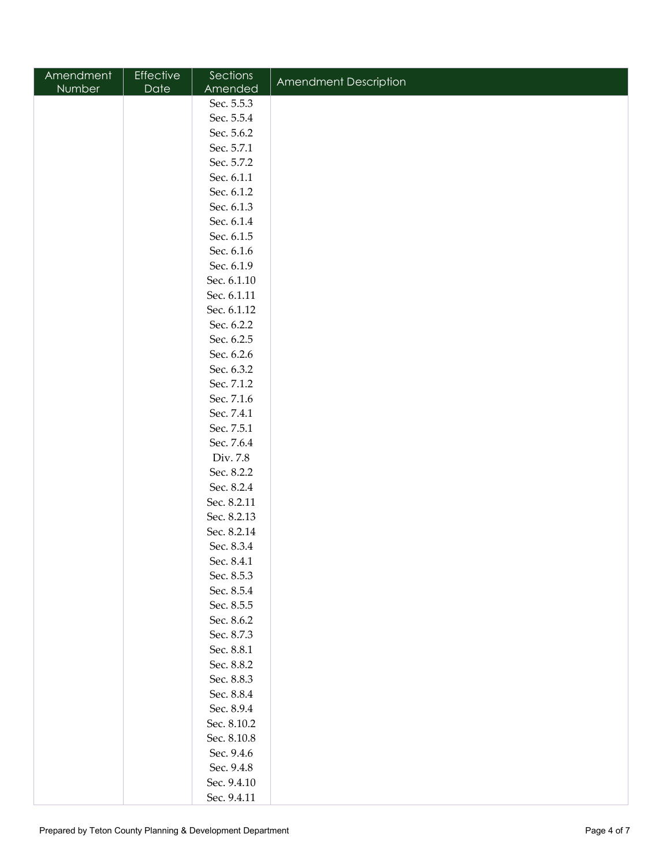| Amendment     | Effective | Sections    |                       |
|---------------|-----------|-------------|-----------------------|
| <b>Number</b> | Date      | Amended     | Amendment Description |
|               |           | Sec. 5.5.3  |                       |
|               |           | Sec. 5.5.4  |                       |
|               |           | Sec. 5.6.2  |                       |
|               |           | Sec. 5.7.1  |                       |
|               |           | Sec. 5.7.2  |                       |
|               |           | Sec. 6.1.1  |                       |
|               |           | Sec. 6.1.2  |                       |
|               |           | Sec. 6.1.3  |                       |
|               |           | Sec. 6.1.4  |                       |
|               |           | Sec. 6.1.5  |                       |
|               |           | Sec. 6.1.6  |                       |
|               |           | Sec. 6.1.9  |                       |
|               |           | Sec. 6.1.10 |                       |
|               |           | Sec. 6.1.11 |                       |
|               |           | Sec. 6.1.12 |                       |
|               |           | Sec. 6.2.2  |                       |
|               |           | Sec. 6.2.5  |                       |
|               |           | Sec. 6.2.6  |                       |
|               |           | Sec. 6.3.2  |                       |
|               |           | Sec. 7.1.2  |                       |
|               |           | Sec. 7.1.6  |                       |
|               |           | Sec. 7.4.1  |                       |
|               |           | Sec. 7.5.1  |                       |
|               |           | Sec. 7.6.4  |                       |
|               |           | Div. 7.8    |                       |
|               |           | Sec. 8.2.2  |                       |
|               |           | Sec. 8.2.4  |                       |
|               |           | Sec. 8.2.11 |                       |
|               |           | Sec. 8.2.13 |                       |
|               |           | Sec. 8.2.14 |                       |
|               |           | Sec. 8.3.4  |                       |
|               |           | Sec. 8.4.1  |                       |
|               |           | Sec. 8.5.3  |                       |
|               |           | Sec. 8.5.4  |                       |
|               |           | Sec. 8.5.5  |                       |
|               |           | Sec. 8.6.2  |                       |
|               |           | Sec. 8.7.3  |                       |
|               |           | Sec. 8.8.1  |                       |
|               |           | Sec. 8.8.2  |                       |
|               |           | Sec. 8.8.3  |                       |
|               |           | Sec. 8.8.4  |                       |
|               |           | Sec. 8.9.4  |                       |
|               |           | Sec. 8.10.2 |                       |
|               |           | Sec. 8.10.8 |                       |
|               |           | Sec. 9.4.6  |                       |
|               |           | Sec. 9.4.8  |                       |
|               |           | Sec. 9.4.10 |                       |
|               |           | Sec. 9.4.11 |                       |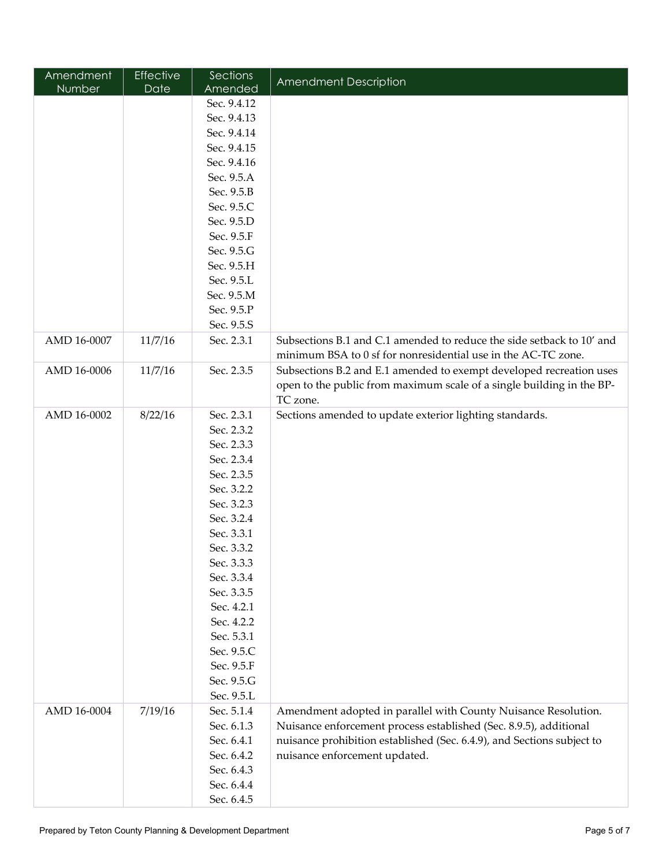| Amendment   | <b>Effective</b> | Sections    | <b>Amendment Description</b>                                           |
|-------------|------------------|-------------|------------------------------------------------------------------------|
| Number      | Date             | Amended     |                                                                        |
|             |                  | Sec. 9.4.12 |                                                                        |
|             |                  | Sec. 9.4.13 |                                                                        |
|             |                  | Sec. 9.4.14 |                                                                        |
|             |                  | Sec. 9.4.15 |                                                                        |
|             |                  | Sec. 9.4.16 |                                                                        |
|             |                  | Sec. 9.5.A  |                                                                        |
|             |                  | Sec. 9.5.B  |                                                                        |
|             |                  | Sec. 9.5.C  |                                                                        |
|             |                  | Sec. 9.5.D  |                                                                        |
|             |                  | Sec. 9.5.F  |                                                                        |
|             |                  | Sec. 9.5.G  |                                                                        |
|             |                  | Sec. 9.5.H  |                                                                        |
|             |                  | Sec. 9.5.L  |                                                                        |
|             |                  | Sec. 9.5.M  |                                                                        |
|             |                  | Sec. 9.5.P  |                                                                        |
|             |                  | Sec. 9.5.S  |                                                                        |
| AMD 16-0007 | 11/7/16          | Sec. 2.3.1  | Subsections B.1 and C.1 amended to reduce the side setback to 10' and  |
|             |                  |             | minimum BSA to 0 sf for nonresidential use in the AC-TC zone.          |
| AMD 16-0006 | 11/7/16          | Sec. 2.3.5  | Subsections B.2 and E.1 amended to exempt developed recreation uses    |
|             |                  |             | open to the public from maximum scale of a single building in the BP-  |
|             |                  |             | TC zone.                                                               |
| AMD 16-0002 | 8/22/16          | Sec. 2.3.1  | Sections amended to update exterior lighting standards.                |
|             |                  | Sec. 2.3.2  |                                                                        |
|             |                  | Sec. 2.3.3  |                                                                        |
|             |                  | Sec. 2.3.4  |                                                                        |
|             |                  | Sec. 2.3.5  |                                                                        |
|             |                  | Sec. 3.2.2  |                                                                        |
|             |                  | Sec. 3.2.3  |                                                                        |
|             |                  | Sec. 3.2.4  |                                                                        |
|             |                  | Sec. 3.3.1  |                                                                        |
|             |                  | Sec. 3.3.2  |                                                                        |
|             |                  | Sec. 3.3.3  |                                                                        |
|             |                  | Sec. 3.3.4  |                                                                        |
|             |                  | Sec. 3.3.5  |                                                                        |
|             |                  | Sec. 4.2.1  |                                                                        |
|             |                  | Sec. 4.2.2  |                                                                        |
|             |                  | Sec. 5.3.1  |                                                                        |
|             |                  | Sec. 9.5.C  |                                                                        |
|             |                  | Sec. 9.5.F  |                                                                        |
|             |                  | Sec. 9.5.G  |                                                                        |
|             |                  | Sec. 9.5.L  |                                                                        |
| AMD 16-0004 | 7/19/16          | Sec. 5.1.4  | Amendment adopted in parallel with County Nuisance Resolution.         |
|             |                  | Sec. 6.1.3  | Nuisance enforcement process established (Sec. 8.9.5), additional      |
|             |                  | Sec. 6.4.1  | nuisance prohibition established (Sec. 6.4.9), and Sections subject to |
|             |                  | Sec. 6.4.2  | nuisance enforcement updated.                                          |
|             |                  | Sec. 6.4.3  |                                                                        |
|             |                  | Sec. 6.4.4  |                                                                        |
|             |                  | Sec. 6.4.5  |                                                                        |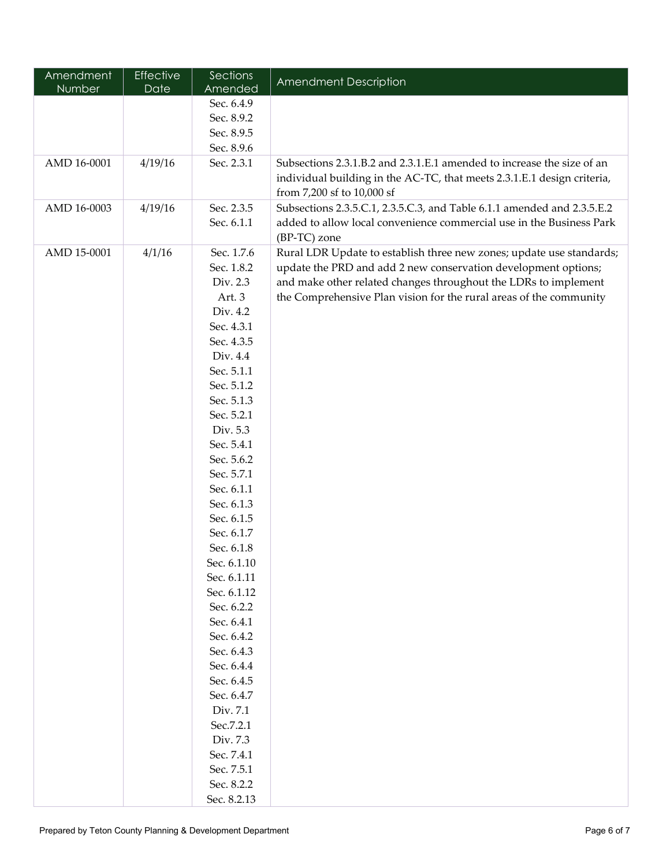| Amendment<br>Number | Effective<br>Date | Sections<br>Amended | <b>Amendment Description</b>                                                                                                           |
|---------------------|-------------------|---------------------|----------------------------------------------------------------------------------------------------------------------------------------|
|                     |                   | Sec. 6.4.9          |                                                                                                                                        |
|                     |                   | Sec. 8.9.2          |                                                                                                                                        |
|                     |                   | Sec. 8.9.5          |                                                                                                                                        |
|                     |                   | Sec. 8.9.6          |                                                                                                                                        |
| AMD 16-0001         | 4/19/16           | Sec. 2.3.1          | Subsections 2.3.1.B.2 and 2.3.1.E.1 amended to increase the size of an                                                                 |
|                     |                   |                     | individual building in the AC-TC, that meets 2.3.1.E.1 design criteria,                                                                |
|                     |                   |                     | from 7,200 sf to 10,000 sf                                                                                                             |
| AMD 16-0003         | 4/19/16           | Sec. 2.3.5          | Subsections 2.3.5.C.1, 2.3.5.C.3, and Table 6.1.1 amended and 2.3.5.E.2                                                                |
|                     |                   | Sec. 6.1.1          | added to allow local convenience commercial use in the Business Park                                                                   |
|                     |                   |                     | (BP-TC) zone                                                                                                                           |
| AMD 15-0001         | 4/1/16            | Sec. 1.7.6          |                                                                                                                                        |
|                     |                   | Sec. 1.8.2          | Rural LDR Update to establish three new zones; update use standards;<br>update the PRD and add 2 new conservation development options; |
|                     |                   | Div. 2.3            | and make other related changes throughout the LDRs to implement                                                                        |
|                     |                   | Art. 3              | the Comprehensive Plan vision for the rural areas of the community                                                                     |
|                     |                   | Div. 4.2            |                                                                                                                                        |
|                     |                   | Sec. 4.3.1          |                                                                                                                                        |
|                     |                   | Sec. 4.3.5          |                                                                                                                                        |
|                     |                   | Div. 4.4            |                                                                                                                                        |
|                     |                   | Sec. 5.1.1          |                                                                                                                                        |
|                     |                   | Sec. 5.1.2          |                                                                                                                                        |
|                     |                   | Sec. 5.1.3          |                                                                                                                                        |
|                     |                   | Sec. 5.2.1          |                                                                                                                                        |
|                     |                   | Div. 5.3            |                                                                                                                                        |
|                     |                   | Sec. 5.4.1          |                                                                                                                                        |
|                     |                   | Sec. 5.6.2          |                                                                                                                                        |
|                     |                   | Sec. 5.7.1          |                                                                                                                                        |
|                     |                   | Sec. 6.1.1          |                                                                                                                                        |
|                     |                   | Sec. 6.1.3          |                                                                                                                                        |
|                     |                   | Sec. 6.1.5          |                                                                                                                                        |
|                     |                   | Sec. 6.1.7          |                                                                                                                                        |
|                     |                   | Sec. 6.1.8          |                                                                                                                                        |
|                     |                   | Sec. 6.1.10         |                                                                                                                                        |
|                     |                   | Sec. 6.1.11         |                                                                                                                                        |
|                     |                   | Sec. 6.1.12         |                                                                                                                                        |
|                     |                   | Sec. 6.2.2          |                                                                                                                                        |
|                     |                   | Sec. 6.4.1          |                                                                                                                                        |
|                     |                   | Sec. 6.4.2          |                                                                                                                                        |
|                     |                   | Sec. 6.4.3          |                                                                                                                                        |
|                     |                   | Sec. 6.4.4          |                                                                                                                                        |
|                     |                   | Sec. 6.4.5          |                                                                                                                                        |
|                     |                   | Sec. 6.4.7          |                                                                                                                                        |
|                     |                   | Div. 7.1            |                                                                                                                                        |
|                     |                   | Sec.7.2.1           |                                                                                                                                        |
|                     |                   | Div. 7.3            |                                                                                                                                        |
|                     |                   | Sec. 7.4.1          |                                                                                                                                        |
|                     |                   | Sec. 7.5.1          |                                                                                                                                        |
|                     |                   | Sec. 8.2.2          |                                                                                                                                        |
|                     |                   | Sec. 8.2.13         |                                                                                                                                        |